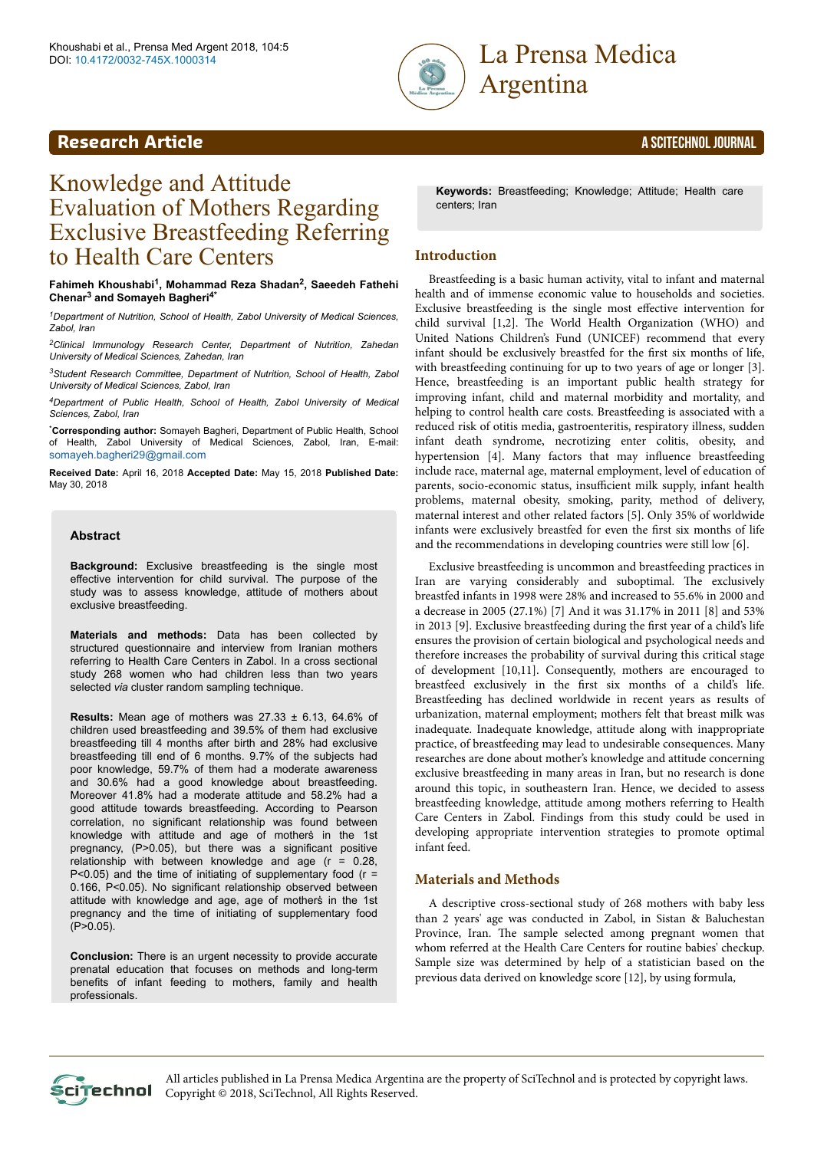

**Research Article** A SCITECHNOL JOURNAL

# Knowledge and Attitude Evaluation of Mothers Regarding Exclusive Breastfeeding Referring to Health Care Centers

**Fahimeh Khoushabi<sup>1</sup> , Mohammad Reza Shadan<sup>2</sup> , Saeedeh Fathehi Chenar<sup>3</sup> and Somayeh Bagheri4\***

*<sup>1</sup>Department of Nutrition, School of Health, Zabol University of Medical Sciences, Zabol, Iran*

*<sup>2</sup>Clinical Immunology Research Center, Department of Nutrition, Zahedan University of Medical Sciences, Zahedan, Iran*

*<sup>3</sup>Student Research Committee, Department of Nutrition, School of Health, Zabol University of Medical Sciences, Zabol, Iran*

*<sup>4</sup>Department of Public Health, School of Health, Zabol University of Medical Sciences, Zabol, Iran*

\***Corresponding author:** Somayeh Bagheri, Department of Public Health, School of Health, Zabol University of Medical Sciences, Zabol, Iran, E-mail: [somayeh.bagheri29@gmail.com](mailto:somayeh.bagheri29@gmail.com)

**Received Date:** April 16, 2018 **Accepted Date:** May 15, 2018 **Published Date:** May 30, 2018

#### **Abstract**

**Background:** Exclusive breastfeeding is the single most effective intervention for child survival. The purpose of the study was to assess knowledge, attitude of mothers about exclusive breastfeeding.

**Materials and methods:** Data has been collected by structured questionnaire and interview from Iranian mothers referring to Health Care Centers in Zabol. In a cross sectional study 268 women who had children less than two years selected *via* cluster random sampling technique.

**Results:** Mean age of mothers was 27.33 ± 6.13, 64.6% of children used breastfeeding and 39.5% of them had exclusive breastfeeding till 4 months after birth and 28% had exclusive breastfeeding till end of 6 months. 9.7% of the subjects had poor knowledge, 59.7% of them had a moderate awareness and 30.6% had a good knowledge about breastfeeding. Moreover 41.8% had a moderate attitude and 58.2% had a good attitude towards breastfeeding. According to Pearson correlation, no significant relationship was found between knowledge with attitude and age of mother's in the 1st pregnancy, (P˃0.05), but there was a significant positive relationship with between knowledge and age  $(r = 0.28,$  $P < 0.05$ ) and the time of initiating of supplementary food ( $r =$ 0.166, P˂0.05). No significant relationship observed between attitude with knowledge and age, age of mothers in the 1st pregnancy and the time of initiating of supplementary food  $(P > 0.05)$ .

**Conclusion:** There is an urgent necessity to provide accurate prenatal education that focuses on methods and long-term benefits of infant feeding to mothers, family and health professionals.

**Keywords:** Breastfeeding; Knowledge; Attitude; Health care centers; Iran

# **Introduction**

Breastfeeding is a basic human activity, vital to infant and maternal health and of immense economic value to households and societies. Exclusive breastfeeding is the single most effective intervention for child survival [1,2]. Нe World Health Organization (WHO) and United Nations Children's Fund (UNICEF) recommend that every infant should be exclusively breastfed for the first six months of life, with breastfeeding continuing for up to two years of age or longer [3]. Hence, breastfeeding is an important public health strategy for improving infant, child and maternal morbidity and mortality, and helping to control health care costs. Breastfeeding is associated with a reduced risk of otitis media, gastroenteritis, respiratory illness, sudden infant death syndrome, necrotizing enter colitis, obesity, and hypertension [4]. Many factors that may influence breastfeeding include race, maternal age, maternal employment, level of education of parents, socio-economic status, insufficient milk supply, infant health problems, maternal obesity, smoking, parity, method of delivery, maternal interest and other related factors [5]. Only 35% of worldwide infants were exclusively breastfed for even the first six months of life and the recommendations in developing countries were still low [6].

Exclusive breastfeeding is uncommon and breastfeeding practices in Iran are varying considerably and suboptimal. Нe exclusively breastfed infants in 1998 were 28% and increased to 55.6% in 2000 and a decrease in 2005 (27.1%) [7] And it was 31.17% in 2011 [8] and 53% in 2013 [9]. Exclusive breastfeeding during the first year of a child's life ensures the provision of certain biological and psychological needs and therefore increases the probability of survival during this critical stage of development [10,11]. Consequently, mothers are encouraged to breastfeed exclusively in the first six months of a child's life. Breastfeeding has declined worldwide in recent years as results of urbanization, maternal employment; mothers felt that breast milk was inadequate. Inadequate knowledge, attitude along with inappropriate practice, of breastfeeding may lead to undesirable consequences. Many researches are done about mother's knowledge and attitude concerning exclusive breastfeeding in many areas in Iran, but no research is done around this topic, in southeastern Iran. Hence, we decided to assess breastfeeding knowledge, attitude among mothers referring to Health Care Centers in Zabol. Findings from this study could be used in developing appropriate intervention strategies to promote optimal infant feed.

# **Materials and Methods**

A descriptive cross-sectional study of 268 mothers with baby less than 2 years' age was conducted in Zabol, in Sistan & Baluchestan Province, Iran. Нe sample selected among pregnant women that whom referred at the Health Care Centers for routine babies' checkup. Sample size was determined by help of a statistician based on the previous data derived on knowledge score [12], by using formula,

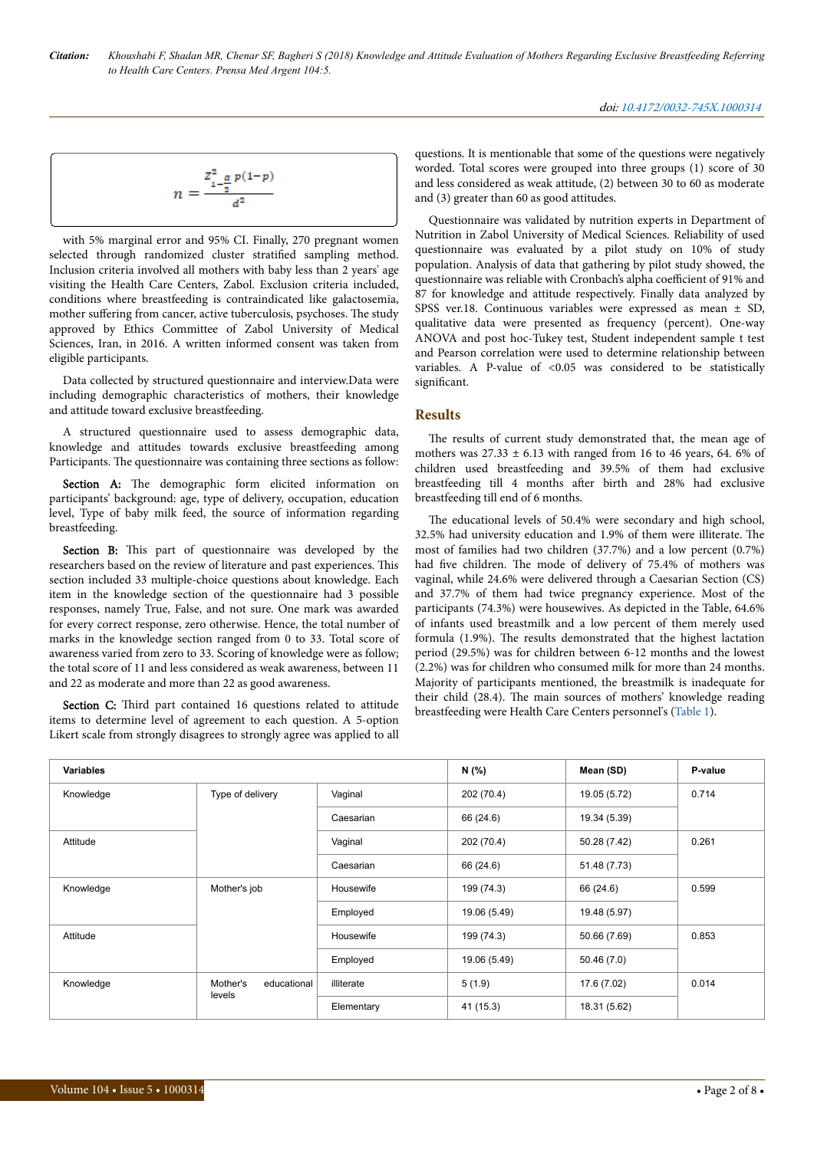$$
n=\frac{z_{1-\frac{\alpha}{2}}^2p(1-p)}{a^2}
$$

with 5% marginal error and 95% CI. Finally, 270 pregnant women selected through randomized cluster stratified sampling method. Inclusion criteria involved all mothers with baby less than 2 years' age visiting the Health Care Centers, Zabol. Exclusion criteria included, conditions where breastfeeding is contraindicated like galactosemia, mother suffering from cancer, active tuberculosis, psychoses. The study approved by Ethics Committee of Zabol University of Medical Sciences, Iran, in 2016. A written informed consent was taken from eligible participants.

Data collected by structured questionnaire and interview.Data were including demographic characteristics of mothers, their knowledge and attitude toward exclusive breastfeeding.

A structured questionnaire used to assess demographic data, knowledge and attitudes towards exclusive breastfeeding among Participants. Нe questionnaire was containing three sections as follow:

Section A: The demographic form elicited information on participants' background: age, type of delivery, occupation, education level, Type of baby milk feed, the source of information regarding breastfeeding.

Section B: This part of questionnaire was developed by the researchers based on the review of literature and past experiences. Нis section included 33 multiple-choice questions about knowledge. Each item in the knowledge section of the questionnaire had 3 possible responses, namely True, False, and not sure. One mark was awarded for every correct response, zero otherwise. Hence, the total number of marks in the knowledge section ranged from 0 to 33. Total score of awareness varied from zero to 33. Scoring of knowledge were as follow; the total score of 11 and less considered as weak awareness, between 11 and 22 as moderate and more than 22 as good awareness.

Section C: Third part contained 16 questions related to attitude items to determine level of agreement to each question. A 5-option Likert scale from strongly disagrees to strongly agree was applied to all

questions. It is mentionable that some of the questions were negatively worded. Total scores were grouped into three groups (1) score of 30 and less considered as weak attitude, (2) between 30 to 60 as moderate and (3) greater than 60 as good attitudes.

Questionnaire was validated by nutrition experts in Department of Nutrition in Zabol University of Medical Sciences. Reliability of used questionnaire was evaluated by a pilot study on 10% of study population. Analysis of data that gathering by pilot study showed, the questionnaire was reliable with Cronbach's alpha coefficient of 91% and 87 for knowledge and attitude respectively. Finally data analyzed by SPSS ver.18. Continuous variables were expressed as mean ± SD, qualitative data were presented as frequency (percent). One-way ANOVA and post hoc-Tukey test, Student independent sample t test and Pearson correlation were used to determine relationship between variables. A P-value of <0.05 was considered to be statistically significant.

# **Results**

The results of current study demonstrated that, the mean age of mothers was  $27.33 \pm 6.13$  with ranged from 16 to 46 years, 64. 6% of children used breastfeeding and 39.5% of them had exclusive breastfeeding till 4 months after birth and 28% had exclusive breastfeeding till end of 6 months.

The educational levels of 50.4% were secondary and high school, 32.5% had university education and 1.9% of them were illiterate. Нe most of families had two children (37.7%) and a low percent (0.7%) had five children. Нe mode of delivery of 75.4% of mothers was vaginal, while 24.6% were delivered through a Caesarian Section (CS) and 37.7% of them had twice pregnancy experience. Most of the participants (74.3%) were housewives. As depicted in the Table, 64.6% of infants used breastmilk and a low percent of them merely used formula (1.9%). Нe results demonstrated that the highest lactation period (29.5%) was for children between 6-12 months and the lowest (2.2%) was for children who consumed milk for more than 24 months. Majority of participants mentioned, the breastmilk is inadequate for their child (28.4). Нe main sources of mothers' knowledge reading breastfeeding were Health Care Centers personnel's ([Table 1](#page-3-0)).

| <b>Variables</b> |                         | N (%)      | Mean (SD)    | P-value      |       |
|------------------|-------------------------|------------|--------------|--------------|-------|
| Knowledge        | Type of delivery        | Vaginal    | 202 (70.4)   | 19.05 (5.72) | 0.714 |
|                  |                         | Caesarian  | 66 (24.6)    | 19.34 (5.39) |       |
| Attitude         |                         | Vaginal    | 202 (70.4)   | 50.28 (7.42) | 0.261 |
|                  |                         | Caesarian  | 66 (24.6)    | 51.48 (7.73) |       |
| Knowledge        | Mother's job            | Housewife  | 199 (74.3)   | 66 (24.6)    | 0.599 |
|                  |                         | Employed   | 19.06 (5.49) | 19.48 (5.97) |       |
| Attitude         |                         | Housewife  | 199 (74.3)   | 50.66 (7.69) | 0.853 |
|                  |                         | Employed   | 19.06 (5.49) | 50.46(7.0)   |       |
| Knowledge        | Mother's<br>educational | illiterate | 5(1.9)       | 17.6 (7.02)  | 0.014 |
|                  | levels                  | Elementary | 41 (15.3)    | 18.31 (5.62) |       |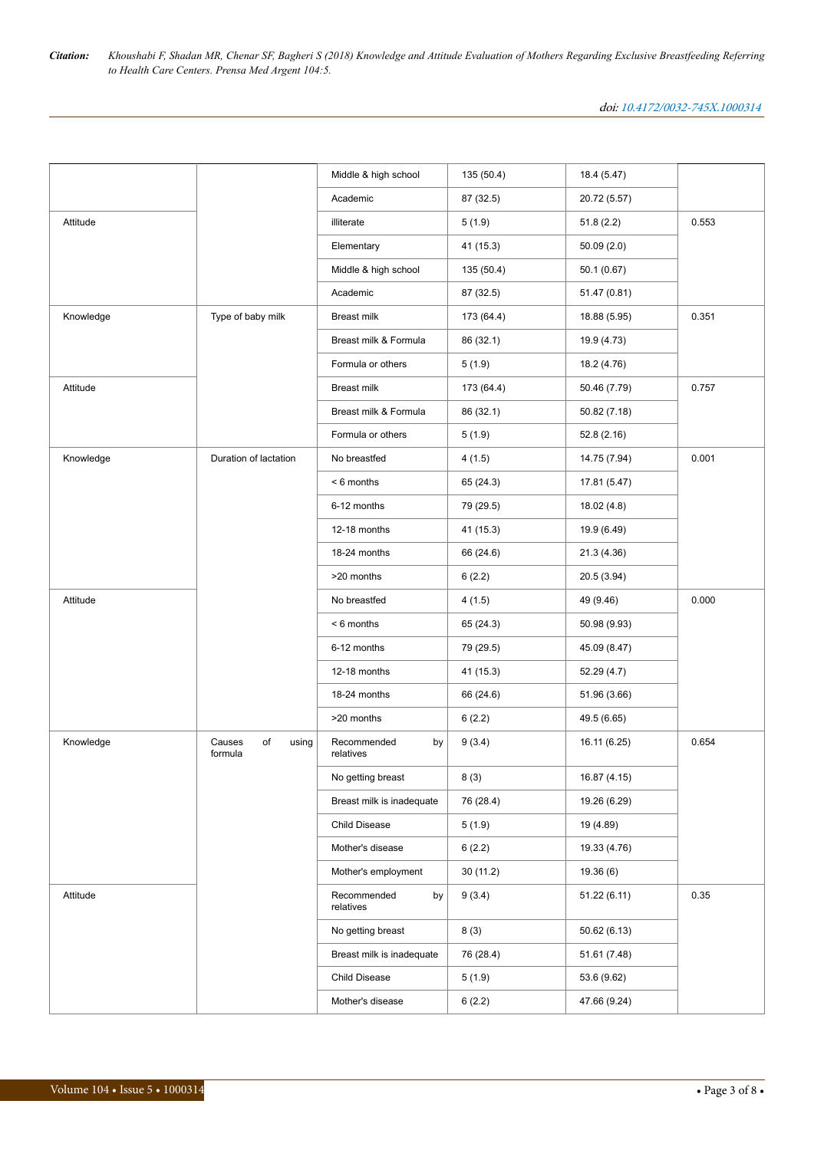|           |                                  | Middle & high school           | 135 (50.4) | 18.4 (5.47)  |       |
|-----------|----------------------------------|--------------------------------|------------|--------------|-------|
|           |                                  | Academic                       | 87 (32.5)  | 20.72 (5.57) |       |
| Attitude  |                                  | illiterate                     | 5(1.9)     | 51.8(2.2)    | 0.553 |
|           |                                  | Elementary                     | 41(15.3)   | 50.09(2.0)   |       |
|           |                                  | Middle & high school           | 135 (50.4) | 50.1 (0.67)  |       |
|           |                                  | Academic                       | 87 (32.5)  | 51.47 (0.81) |       |
| Knowledge | Type of baby milk                | Breast milk                    | 173 (64.4) | 18.88 (5.95) | 0.351 |
|           |                                  | Breast milk & Formula          | 86 (32.1)  | 19.9 (4.73)  |       |
|           |                                  | Formula or others              | 5(1.9)     | 18.2 (4.76)  |       |
| Attitude  |                                  | Breast milk                    | 173 (64.4) | 50.46 (7.79) | 0.757 |
|           |                                  | Breast milk & Formula          | 86 (32.1)  | 50.82 (7.18) |       |
|           |                                  | Formula or others              | 5(1.9)     | 52.8(2.16)   |       |
| Knowledge | Duration of lactation            | No breastfed                   | 4(1.5)     | 14.75 (7.94) | 0.001 |
|           |                                  | $< 6$ months                   | 65 (24.3)  | 17.81 (5.47) |       |
|           |                                  | 6-12 months                    | 79 (29.5)  | 18.02(4.8)   |       |
|           |                                  | 12-18 months                   | 41 (15.3)  | 19.9 (6.49)  |       |
|           |                                  | 18-24 months                   | 66 (24.6)  | 21.3 (4.36)  |       |
|           |                                  | >20 months                     | 6(2.2)     | 20.5 (3.94)  |       |
| Attitude  |                                  | No breastfed                   | 4(1.5)     | 49 (9.46)    | 0.000 |
|           |                                  | $< 6$ months                   | 65 (24.3)  | 50.98 (9.93) |       |
|           |                                  | 6-12 months                    | 79 (29.5)  | 45.09 (8.47) |       |
|           |                                  | 12-18 months                   | 41 (15.3)  | 52.29 (4.7)  |       |
|           |                                  | 18-24 months                   | 66 (24.6)  | 51.96 (3.66) |       |
|           |                                  | >20 months                     | 6(2.2)     | 49.5 (6.65)  |       |
| Knowledge | Causes<br>of<br>using<br>formula | Recommended<br>by<br>relatives | 9(3.4)     | 16.11 (6.25) | 0.654 |
|           |                                  | No getting breast              | 8(3)       | 16.87 (4.15) |       |
|           |                                  | Breast milk is inadequate      | 76 (28.4)  | 19.26 (6.29) |       |
|           |                                  | Child Disease                  | 5(1.9)     | 19 (4.89)    |       |
|           |                                  | Mother's disease               | 6(2.2)     | 19.33 (4.76) |       |
|           |                                  | Mother's employment            | 30 (11.2)  | 19.36(6)     |       |
| Attitude  |                                  | Recommended<br>by<br>relatives | 9(3.4)     | 51.22(6.11)  | 0.35  |
|           |                                  | No getting breast              | 8(3)       | 50.62(6.13)  |       |
|           |                                  | Breast milk is inadequate      | 76 (28.4)  | 51.61 (7.48) |       |
|           |                                  | Child Disease                  | 5(1.9)     | 53.6 (9.62)  |       |
|           |                                  | Mother's disease               | 6(2.2)     | 47.66 (9.24) |       |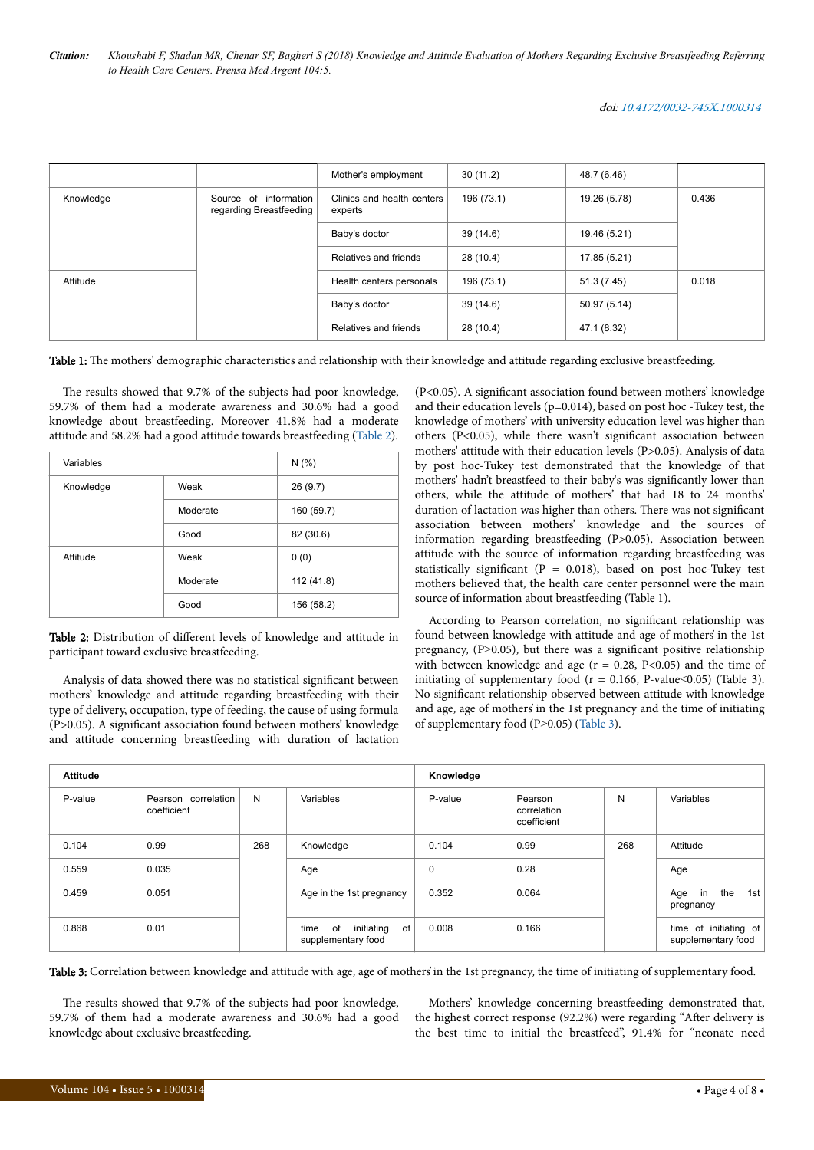<span id="page-3-0"></span>

|           |                                                     | Mother's employment                   | 30(11.2)   | 48.7 (6.46)  |       |
|-----------|-----------------------------------------------------|---------------------------------------|------------|--------------|-------|
| Knowledge | of information<br>Source<br>regarding Breastfeeding | Clinics and health centers<br>experts | 196 (73.1) | 19.26 (5.78) | 0.436 |
|           |                                                     | Baby's doctor                         | 39(14.6)   | 19.46 (5.21) |       |
|           |                                                     | Relatives and friends                 | 28 (10.4)  | 17.85 (5.21) |       |
| Attitude  |                                                     | Health centers personals              | 196 (73.1) | 51.3 (7.45)  | 0.018 |
|           |                                                     | Baby's doctor                         | 39 (14.6)  | 50.97 (5.14) |       |
|           |                                                     | Relatives and friends                 | 28 (10.4)  | 47.1 (8.32)  |       |

Table 1: The mothers' demographic characteristics and relationship with their knowledge and attitude regarding exclusive breastfeeding.

The results showed that 9.7% of the subjects had poor knowledge, 59.7% of them had a moderate awareness and 30.6% had a good knowledge about breastfeeding. Moreover 41.8% had a moderate attitude and 58.2% had a good attitude towards breastfeeding (Table 2).

| Variables |          | N(% )      |
|-----------|----------|------------|
| Knowledge | Weak     | 26(9.7)    |
|           | Moderate | 160 (59.7) |
|           | Good     | 82 (30.6)  |
| Attitude  | Weak     | 0(0)       |
|           | Moderate | 112 (41.8) |
|           | Good     | 156 (58.2) |

Table 2: Distribution of different levels of knowledge and attitude in participant toward exclusive breastfeeding.

Analysis of data showed there was no statistical significant between mothers' knowledge and attitude regarding breastfeeding with their type of delivery, occupation, type of feeding, the cause of using formula (P>0.05). A significant association found between mothers' knowledge and attitude concerning breastfeeding with duration of lactation

(P<0.05). A significant association found between mothers' knowledge and their education levels (p=0.014), based on post hoc -Tukey test, the knowledge of mothers' with university education level was higher than others (P<0.05), while there wasn't significant association between mothers' attitude with their education levels (P>0.05). Analysis of data by post hoc-Tukey test demonstrated that the knowledge of that mothers' hadn't breastfeed to their baby's was significantl\ lower than others, while the attitude of mothers' that had 18 to 24 months' duration of lactation was higher than others. Нere was not significant association between mothers' knowledge and the sources of information regarding breastfeeding (P>0.05). Association between attitude with the source of information regarding breastfeeding was statistically significant (P =  $0.018$ ), based on post hoc-Tukey test mothers believed that, the health care center personnel were the main source of information about breastfeeding (Table 1).

According to Pearson correlation, no significant relationship was found between knowledge with attitude and age of mothers' in the 1st pregnancy, (P>0.05), but there was a significant positive relationship with between knowledge and age ( $r = 0.28$ , P<0.05) and the time of initiating of supplementary food ( $r = 0.166$ , P-value  $0.05$ ) (Table 3). No significant relationship observed between attitude with knowledge and age, age of mothers҆ in the 1st pregnancy and the time of initiating of supplementary food (P>0.05) (Table 3).

| <b>Attitude</b> |                                    |     | Knowledge                                            |         |                                       |     |                                             |
|-----------------|------------------------------------|-----|------------------------------------------------------|---------|---------------------------------------|-----|---------------------------------------------|
| P-value         | Pearson correlation<br>coefficient | N   | Variables                                            | P-value | Pearson<br>correlation<br>coefficient | N   | Variables                                   |
| 0.104           | 0.99                               | 268 | Knowledge                                            | 0.104   | 0.99                                  | 268 | Attitude                                    |
| 0.559           | 0.035                              |     | Age                                                  | 0       | 0.28                                  |     | Age                                         |
| 0.459           | 0.051                              |     | Age in the 1st pregnancy                             | 0.352   | 0.064                                 |     | the<br>Age in<br>1st<br>pregnancy           |
| 0.868           | 0.01                               |     | initiating<br>of<br>of<br>time<br>supplementary food | 0.008   | 0.166                                 |     | time of initiating of<br>supplementary food |

Table 3: Correlation between knowledge and attitude with age, age of mothers in the 1st pregnancy, the time of initiating of supplementary food.

The results showed that 9.7% of the subjects had poor knowledge, 59.7% of them had a moderate awareness and 30.6% had a good knowledge about exclusive breastfeeding.

Mothers' knowledge concerning breastfeeding demonstrated that, the highest correct response (92.2%) were regarding "After delivery is the best time to initial the breastfeed", 91.4% for "neonate need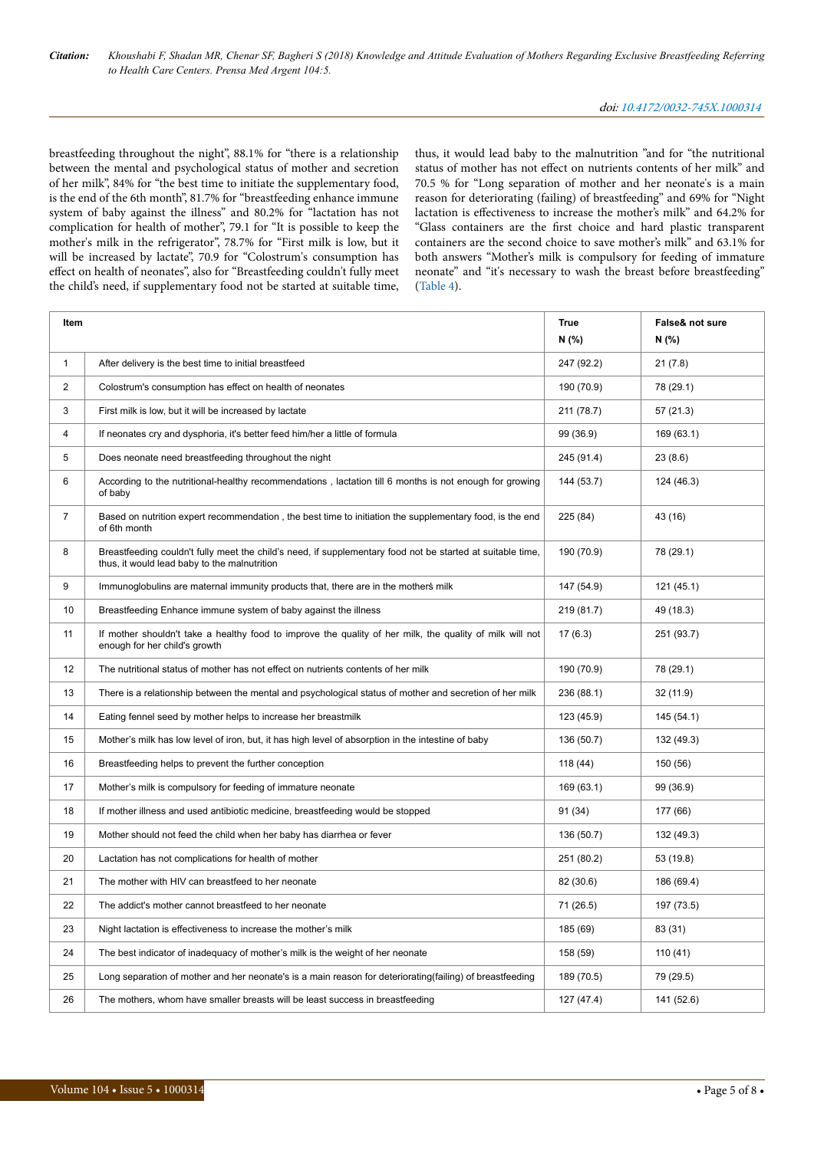breastfeeding throughout the night", 88.1% for "there is a relationship between the mental and psychological status of mother and secretion of her milk", 84% for "the best time to initiate the supplementary food, is the end of the 6th month", 81.7% for "breastfeeding enhance immune system of baby against the illness" and 80.2% for "lactation has not complication for health of mother", 79.1 for "It is possible to keep the mother's milk in the refrigerator", 78.7% for "First milk is low, but it will be increased by lactate", 70.9 for "Colostrum's consumption has effect on health of neonates", also for "Breastfeeding couldn't fully meet the child's need, if supplementary food not be started at suitable time,

thus, it would lead baby to the malnutrition "and for "the nutritional status of mother has not effect on nutrients contents of her milk" and 70.5 % for "Long separation of mother and her neonate's is a main reason for deteriorating (failing) of breastfeeding" and 69% for "Night lactation is effectiveness to increase the mother's milk" and 64.2% for "Glass containers are the first choice and hard plastic transparent containers are the second choice to save mother's milk" and 63.1% for both answers "Mother's milk is compulsory for feeding of immature neonate" and "it's necessary to wash the breast before breastfeeding" ([Table 4](#page-5-0)).

| Item           |                                                                                                                                                            | <b>True</b><br>N (%) | False& not sure<br>N (%) |
|----------------|------------------------------------------------------------------------------------------------------------------------------------------------------------|----------------------|--------------------------|
| $\mathbf{1}$   | After delivery is the best time to initial breastfeed                                                                                                      | 247 (92.2)           | 21(7.8)                  |
| $\overline{2}$ | Colostrum's consumption has effect on health of neonates                                                                                                   | 190 (70.9)           | 78 (29.1)                |
| 3              | First milk is low, but it will be increased by lactate                                                                                                     | 211 (78.7)           | 57(21.3)                 |
| $\overline{4}$ | If neonates cry and dysphoria, it's better feed him/her a little of formula                                                                                | 99 (36.9)            | 169 (63.1)               |
| 5              | Does neonate need breastfeeding throughout the night                                                                                                       | 245 (91.4)           | 23(8.6)                  |
| 6              | According to the nutritional-healthy recommendations, lactation till 6 months is not enough for growing<br>of baby                                         | 144 (53.7)           | 124 (46.3)               |
| $\overline{7}$ | Based on nutrition expert recommendation, the best time to initiation the supplementary food, is the end<br>of 6th month                                   | 225 (84)             | 43 (16)                  |
| 8              | Breastfeeding couldn't fully meet the child's need, if supplementary food not be started at suitable time,<br>thus, it would lead baby to the malnutrition | 190 (70.9)           | 78 (29.1)                |
| 9              | Immunoglobulins are maternal immunity products that, there are in the mothers milk                                                                         | 147 (54.9)           | 121 (45.1)               |
| 10             | Breastfeeding Enhance immune system of baby against the illness                                                                                            | 219 (81.7)           | 49 (18.3)                |
| 11             | If mother shouldn't take a healthy food to improve the quality of her milk, the quality of milk will not<br>enough for her child's growth                  | 17(6.3)              | 251 (93.7)               |
| 12             | The nutritional status of mother has not effect on nutrients contents of her milk                                                                          | 190 (70.9)           | 78 (29.1)                |
| 13             | There is a relationship between the mental and psychological status of mother and secretion of her milk                                                    | 236 (88.1)           | 32 (11.9)                |
| 14             | Eating fennel seed by mother helps to increase her breastmilk                                                                                              | 123 (45.9)           | 145 (54.1)               |
| 15             | Mother's milk has low level of iron, but, it has high level of absorption in the intestine of baby                                                         | 136 (50.7)           | 132 (49.3)               |
| 16             | Breastfeeding helps to prevent the further conception                                                                                                      | 118(44)              | 150 (56)                 |
| 17             | Mother's milk is compulsory for feeding of immature neonate                                                                                                | 169 (63.1)           | 99 (36.9)                |
| 18             | If mother illness and used antibiotic medicine, breastfeeding would be stopped                                                                             | 91 (34)              | 177 (66)                 |
| 19             | Mother should not feed the child when her baby has diarrhea or fever                                                                                       | 136 (50.7)           | 132 (49.3)               |
| 20             | Lactation has not complications for health of mother                                                                                                       | 251 (80.2)           | 53 (19.8)                |
| 21             | The mother with HIV can breastfeed to her neonate                                                                                                          | 82 (30.6)            | 186 (69.4)               |
| 22             | The addict's mother cannot breastfeed to her neonate                                                                                                       | 71 (26.5)            | 197 (73.5)               |
| 23             | Night lactation is effectiveness to increase the mother's milk                                                                                             | 185 (69)             | 83 (31)                  |
| 24             | The best indicator of inadequacy of mother's milk is the weight of her neonate                                                                             | 158 (59)             | 110 (41)                 |
| 25             | Long separation of mother and her neonate's is a main reason for deteriorating (failing) of breastfeeding                                                  | 189 (70.5)           | 79 (29.5)                |
| 26             | The mothers, whom have smaller breasts will be least success in breastfeeding                                                                              | 127 (47.4)           | 141 (52.6)               |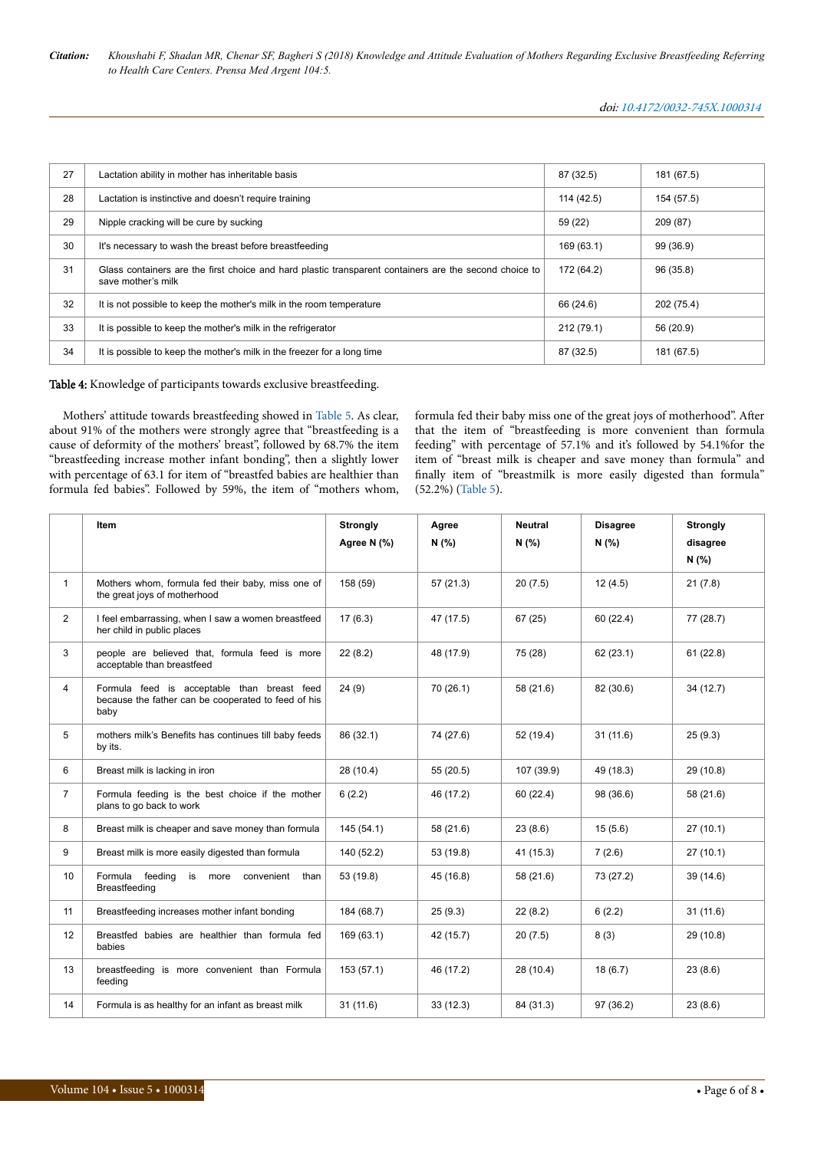<span id="page-5-0"></span>

| 27 | Lactation ability in mother has inheritable basis                                                                            | 87 (32.5)  | 181 (67.5) |
|----|------------------------------------------------------------------------------------------------------------------------------|------------|------------|
| 28 | Lactation is instinctive and doesn't require training                                                                        | 114 (42.5) | 154 (57.5) |
| 29 | Nipple cracking will be cure by sucking                                                                                      |            | 209 (87)   |
| 30 | It's necessary to wash the breast before breastfeeding                                                                       | 169 (63.1) | 99 (36.9)  |
| 31 | Glass containers are the first choice and hard plastic transparent containers are the second choice to<br>save mother's milk | 172 (64.2) | 96 (35.8)  |
| 32 | It is not possible to keep the mother's milk in the room temperature                                                         | 66 (24.6)  | 202 (75.4) |
| 33 | It is possible to keep the mother's milk in the refrigerator                                                                 | 212 (79.1) | 56 (20.9)  |
| 34 | It is possible to keep the mother's milk in the freezer for a long time                                                      | 87 (32.5)  | 181 (67.5) |

Table 4: Knowledge of participants towards exclusive breastfeeding.

Mothers' attitude towards breastfeeding showed in [Table 5.](#page-6-0) As clear, about 91% of the mothers were strongly agree that "breastfeeding is a cause of deformity of the mothers' breast", followed by 68.7% the item "breastfeeding increase mother infant bonding", then a slightly lower with percentage of 63.1 for item of "breastfed babies are healthier than formula fed babies". Followed by 59%, the item of "mothers whom,

formula fed their baby miss one of the great joys of motherhood". After that the item of "breastfeeding is more convenient than formula feeding" with percentage of 57.1% and it's followed by 54.1%for the item of "breast milk is cheaper and save money than formula" and finally item of "breastmilk is more easily digested than formula" (52.2%) ([Table 5](#page-6-0)).

|                | Item                                                                                                       | <b>Strongly</b><br>Agree N (%) | Agree<br>N(% | <b>Neutral</b><br>N(% ) | <b>Disagree</b><br>N(% ) | <b>Strongly</b><br>disagree<br>N(% ) |
|----------------|------------------------------------------------------------------------------------------------------------|--------------------------------|--------------|-------------------------|--------------------------|--------------------------------------|
| $\mathbf{1}$   | Mothers whom, formula fed their baby, miss one of<br>the great joys of motherhood                          | 158 (59)                       | 57(21.3)     | 20(7.5)                 | 12(4.5)                  | 21(7.8)                              |
| $\overline{2}$ | I feel embarrassing, when I saw a women breastfeed<br>her child in public places                           | 17(6.3)                        | 47 (17.5)    | 67(25)                  | 60 (22.4)                | 77 (28.7)                            |
| 3              | people are believed that, formula feed is more<br>acceptable than breastfeed                               | 22(8.2)                        | 48 (17.9)    | 75 (28)                 | 62(23.1)                 | 61(22.8)                             |
| 4              | Formula feed is acceptable than breast feed<br>because the father can be cooperated to feed of his<br>baby | 24(9)                          | 70 (26.1)    | 58 (21.6)               | 82 (30.6)                | 34 (12.7)                            |
| 5              | mothers milk's Benefits has continues till baby feeds<br>by its.                                           | 86 (32.1)                      | 74 (27.6)    | 52 (19.4)               | 31(11.6)                 | 25(9.3)                              |
| 6              | Breast milk is lacking in iron                                                                             | 28 (10.4)                      | 55(20.5)     | 107 (39.9)              | 49 (18.3)                | 29 (10.8)                            |
| $\overline{7}$ | Formula feeding is the best choice if the mother<br>plans to go back to work                               | 6(2.2)                         | 46 (17.2)    | 60 (22.4)               | 98 (36.6)                | 58 (21.6)                            |
| 8              | Breast milk is cheaper and save money than formula                                                         | 145(54.1)                      | 58 (21.6)    | 23(8.6)                 | 15(5.6)                  | 27(10.1)                             |
| 9              | Breast milk is more easily digested than formula                                                           | 140 (52.2)                     | 53 (19.8)    | 41 (15.3)               | 7(2.6)                   | 27(10.1)                             |
| 10             | Formula<br>feeding<br>is more<br>convenient<br>than<br>Breastfeeding                                       | 53 (19.8)                      | 45 (16.8)    | 58 (21.6)               | 73 (27.2)                | 39 (14.6)                            |
| 11             | Breastfeeding increases mother infant bonding                                                              | 184 (68.7)                     | 25(9.3)      | 22(8.2)                 | 6(2.2)                   | 31(11.6)                             |
| 12             | Breastfed babies are healthier than formula fed<br>babies                                                  | 169 (63.1)                     | 42 (15.7)    | 20(7.5)                 | 8(3)                     | 29 (10.8)                            |
| 13             | breastfeeding is more convenient than Formula<br>feeding                                                   | 153(57.1)                      | 46 (17.2)    | 28(10.4)                | 18(6.7)                  | 23(8.6)                              |
| 14             | Formula is as healthy for an infant as breast milk                                                         | 31(11.6)                       | 33(12.3)     | 84 (31.3)               | 97 (36.2)                | 23(8.6)                              |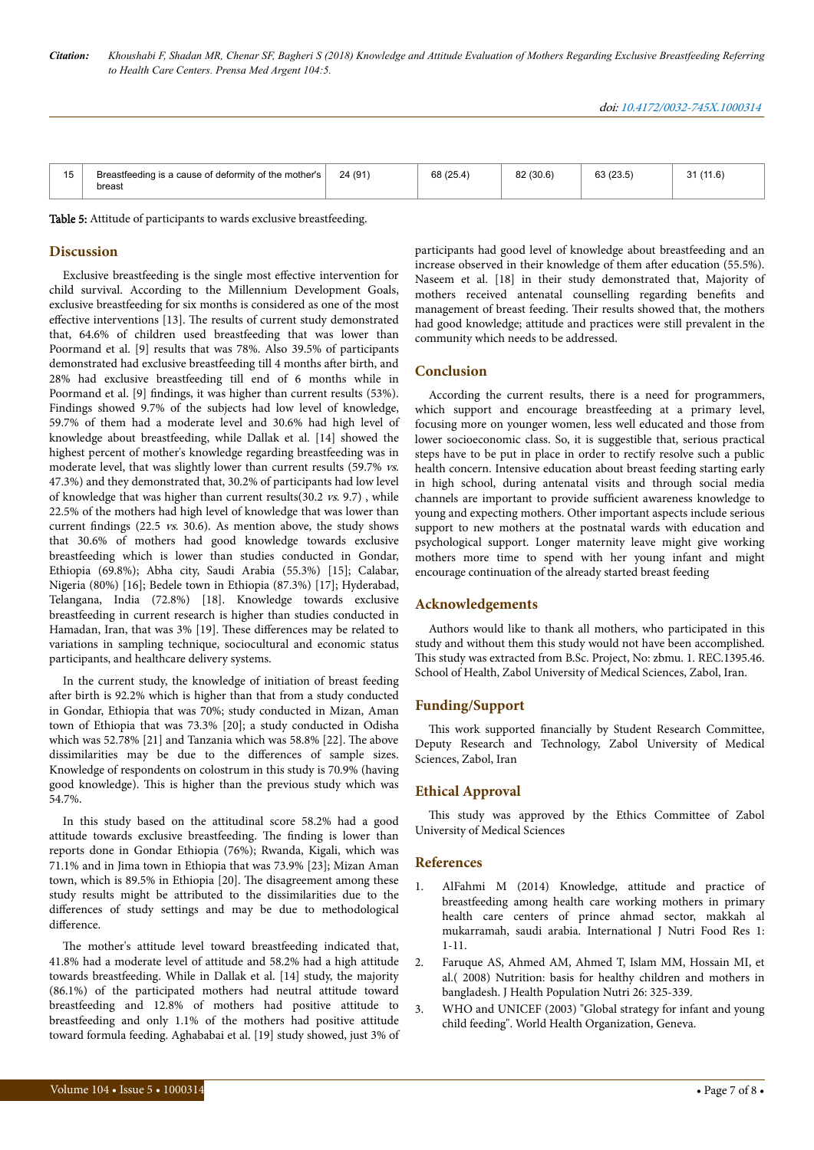<span id="page-6-0"></span>

| 15 | Breastfeeding is a cause of deformity of the mother's<br>breast | 24(91) | 68 (25.4) | 82 (30.6) | 63(23.5) | (1.6) |
|----|-----------------------------------------------------------------|--------|-----------|-----------|----------|-------|

Table 5: Attitude of participants to wards exclusive breastfeeding.

# **Discussion**

Exclusive breastfeeding is the single most effective intervention for child survival. According to the Millennium Development Goals, exclusive breastfeeding for six months is considered as one of the most effective interventions [13]. The results of current study demonstrated that, 64.6% of children used breastfeeding that was lower than Poormand et al. [9] results that was 78%. Also 39.5% of participants demonstrated had exclusive breastfeeding till 4 months after birth, and 28% had exclusive breastfeeding till end of 6 months while in Poormand et al. [9] findings, it was higher than current results (53%). Findings showed 9.7% of the subjects had low level of knowledge, 59.7% of them had a moderate level and 30.6% had high level of knowledge about breastfeeding, while Dallak et al. [14] showed the highest percent of mother's knowledge regarding breastfeeding was in moderate level, that was slightly lower than current results (59.7% vs. 47.3%) and they demonstrated that, 30.2% of participants had low level of knowledge that was higher than current results(30.2 vs. 9.7) , while 22.5% of the mothers had high level of knowledge that was lower than current findings (22.5 vs. 30.6). As mention above, the study shows that 30.6% of mothers had good knowledge towards exclusive breastfeeding which is lower than studies conducted in Gondar, Ethiopia (69.8%); Abha city, Saudi Arabia (55.3%) [15]; Calabar, Nigeria (80%) [16]; Bedele town in Ethiopia (87.3%) [17]; Hyderabad, Telangana, India (72.8%) [18]. Knowledge towards exclusive breastfeeding in current research is higher than studies conducted in Hamadan, Iran, that was 3% [19]. These differences may be related to variations in sampling technique, sociocultural and economic status participants, and healthcare delivery systems.

In the current study, the knowledge of initiation of breast feeding after birth is 92.2% which is higher than that from a study conducted in Gondar, Ethiopia that was 70%; study conducted in Mizan, Aman town of Ethiopia that was 73.3% [20]; a study conducted in Odisha which was 52.78% [21] and Tanzania which was 58.8% [22]. Нe above dissimilarities may be due to the differences of sample sizes. Knowledge of respondents on colostrum in this study is 70.9% (having good knowledge). Нis is higher than the previous study which was 54.7%.

In this study based on the attitudinal score 58.2% had a good attitude towards exclusive breastfeeding. Нe finding is lower than reports done in Gondar Ethiopia (76%); Rwanda, Kigali, which was 71.1% and in Jima town in Ethiopia that was 73.9% [23]; Mizan Aman town, which is 89.5% in Ethiopia [20]. Нe disagreement among these study results might be attributed to the dissimilarities due to the differences of study settings and may be due to methodological difference.

The mother's attitude level toward breastfeeding indicated that, 41.8% had a moderate level of attitude and 58.2% had a high attitude towards breastfeeding. While in Dallak et al. [14] study, the majority (86.1%) of the participated mothers had neutral attitude toward breastfeeding and 12.8% of mothers had positive attitude to breastfeeding and only 1.1% of the mothers had positive attitude toward formula feeding. Aghababai et al. [19] study showed, just 3% of

participants had good level of knowledge about breastfeeding and an increase observed in their knowledge of them after education (55.5%). Naseem et al. [18] in their study demonstrated that, Majority of mothers received antenatal counselling regarding benefits and management of breast feeding. Нeir results showed that, the mothers had good knowledge; attitude and practices were still prevalent in the community which needs to be addressed.

# **Conclusion**

According the current results, there is a need for programmers, which support and encourage breastfeeding at a primary level, focusing more on younger women, less well educated and those from lower socioeconomic class. So, it is suggestible that, serious practical steps have to be put in place in order to rectify resolve such a public health concern. Intensive education about breast feeding starting early in high school, during antenatal visits and through social media channels are important to provide sufficient awareness knowledge to young and expecting mothers. Other important aspects include serious support to new mothers at the postnatal wards with education and psychological support. Longer maternity leave might give working mothers more time to spend with her young infant and might encourage continuation of the already started breast feeding

#### **Acknowledgements**

Authors would like to thank all mothers, who participated in this study and without them this study would not have been accomplished. This study was extracted from B.Sc. Project, No: zbmu. 1. REC.1395.46. School of Health, Zabol University of Medical Sciences, Zabol, Iran.

## **Funding/Support**

This work supported financially by Student Research Committee, Deputy Research and Technology, Zabol University of Medical Sciences, Zabol, Iran

### **Ethical Approval**

This study was approved by the Ethics Committee of Zabol University of Medical Sciences

## **References**

- 1. [AlFahmi M \(2014\) Knowledge, attitude and practice of](https://fmresidentsresearches.wordpress.com/2016/03/13/knowledge-attitude-and-practice-of-breastfeeding-among-health-care-working-mothers-in-primary-health-care-centers-of-prince-ahmad-sector-makkah-almukarramah-saudi-arabia/) [breastfeeding among health care working mothers in primary](https://fmresidentsresearches.wordpress.com/2016/03/13/knowledge-attitude-and-practice-of-breastfeeding-among-health-care-working-mothers-in-primary-health-care-centers-of-prince-ahmad-sector-makkah-almukarramah-saudi-arabia/) [health care centers of prince ahmad sector, makkah al](https://fmresidentsresearches.wordpress.com/2016/03/13/knowledge-attitude-and-practice-of-breastfeeding-among-health-care-working-mothers-in-primary-health-care-centers-of-prince-ahmad-sector-makkah-almukarramah-saudi-arabia/) [mukarramah, saudi arabia. International J Nutri Food Res 1:](https://fmresidentsresearches.wordpress.com/2016/03/13/knowledge-attitude-and-practice-of-breastfeeding-among-health-care-working-mothers-in-primary-health-care-centers-of-prince-ahmad-sector-makkah-almukarramah-saudi-arabia/) [1-11.](https://fmresidentsresearches.wordpress.com/2016/03/13/knowledge-attitude-and-practice-of-breastfeeding-among-health-care-working-mothers-in-primary-health-care-centers-of-prince-ahmad-sector-makkah-almukarramah-saudi-arabia/)
- 2. [Faruque AS, Ahmed AM, Ahmed T, Islam MM, Hossain MI, et](https://www.researchgate.net/publication/23295859_Nutrition_Basis_for_Healthy_Children_and_Mothers_in_Bangladesh) [al.\( 2008\) Nutrition: basis for healthy children and mothers in](https://www.researchgate.net/publication/23295859_Nutrition_Basis_for_Healthy_Children_and_Mothers_in_Bangladesh) [bangladesh. J Health Population Nutri 26: 325-339.](https://www.researchgate.net/publication/23295859_Nutrition_Basis_for_Healthy_Children_and_Mothers_in_Bangladesh)
- 3. [WHO and UNICEF \(2003\) "Global strategy for infant and young](http://apps.who.int/iris/bitstream/handle/10665/42590/9241562218.pdf;jsessionid=2A30F87E3210841B0B4E8E894BB8FC7B?sequence=1) [child feeding". World Health Organization, Geneva.](http://apps.who.int/iris/bitstream/handle/10665/42590/9241562218.pdf;jsessionid=2A30F87E3210841B0B4E8E894BB8FC7B?sequence=1)